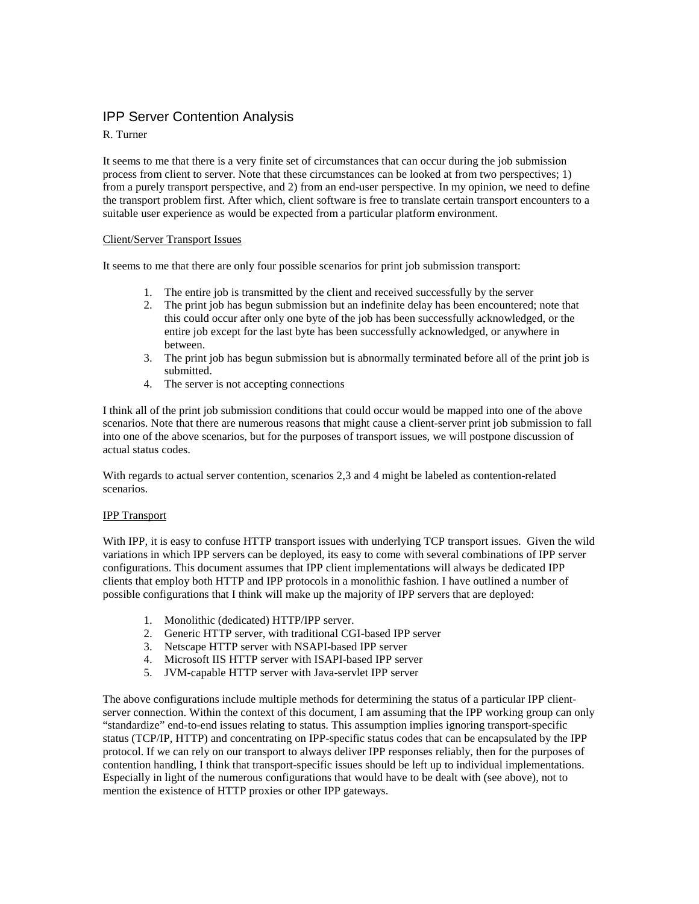# IPP Server Contention Analysis

# R. Turner

It seems to me that there is a very finite set of circumstances that can occur during the job submission process from client to server. Note that these circumstances can be looked at from two perspectives; 1) from a purely transport perspective, and 2) from an end-user perspective. In my opinion, we need to define the transport problem first. After which, client software is free to translate certain transport encounters to a suitable user experience as would be expected from a particular platform environment.

## Client/Server Transport Issues

It seems to me that there are only four possible scenarios for print job submission transport:

- 1. The entire job is transmitted by the client and received successfully by the server
- 2. The print job has begun submission but an indefinite delay has been encountered; note that this could occur after only one byte of the job has been successfully acknowledged, or the entire job except for the last byte has been successfully acknowledged, or anywhere in between.
- 3. The print job has begun submission but is abnormally terminated before all of the print job is submitted.
- 4. The server is not accepting connections

I think all of the print job submission conditions that could occur would be mapped into one of the above scenarios. Note that there are numerous reasons that might cause a client-server print job submission to fall into one of the above scenarios, but for the purposes of transport issues, we will postpone discussion of actual status codes.

With regards to actual server contention, scenarios 2,3 and 4 might be labeled as contention-related scenarios.

## IPP Transport

With IPP, it is easy to confuse HTTP transport issues with underlying TCP transport issues. Given the wild variations in which IPP servers can be deployed, its easy to come with several combinations of IPP server configurations. This document assumes that IPP client implementations will always be dedicated IPP clients that employ both HTTP and IPP protocols in a monolithic fashion. I have outlined a number of possible configurations that I think will make up the majority of IPP servers that are deployed:

- 1. Monolithic (dedicated) HTTP/IPP server.
- 2. Generic HTTP server, with traditional CGI-based IPP server
- 3. Netscape HTTP server with NSAPI-based IPP server
- 4. Microsoft IIS HTTP server with ISAPI-based IPP server
- 5. JVM-capable HTTP server with Java-servlet IPP server

The above configurations include multiple methods for determining the status of a particular IPP clientserver connection. Within the context of this document, I am assuming that the IPP working group can only "standardize" end-to-end issues relating to status. This assumption implies ignoring transport-specific status (TCP/IP, HTTP) and concentrating on IPP-specific status codes that can be encapsulated by the IPP protocol. If we can rely on our transport to always deliver IPP responses reliably, then for the purposes of contention handling, I think that transport-specific issues should be left up to individual implementations. Especially in light of the numerous configurations that would have to be dealt with (see above), not to mention the existence of HTTP proxies or other IPP gateways.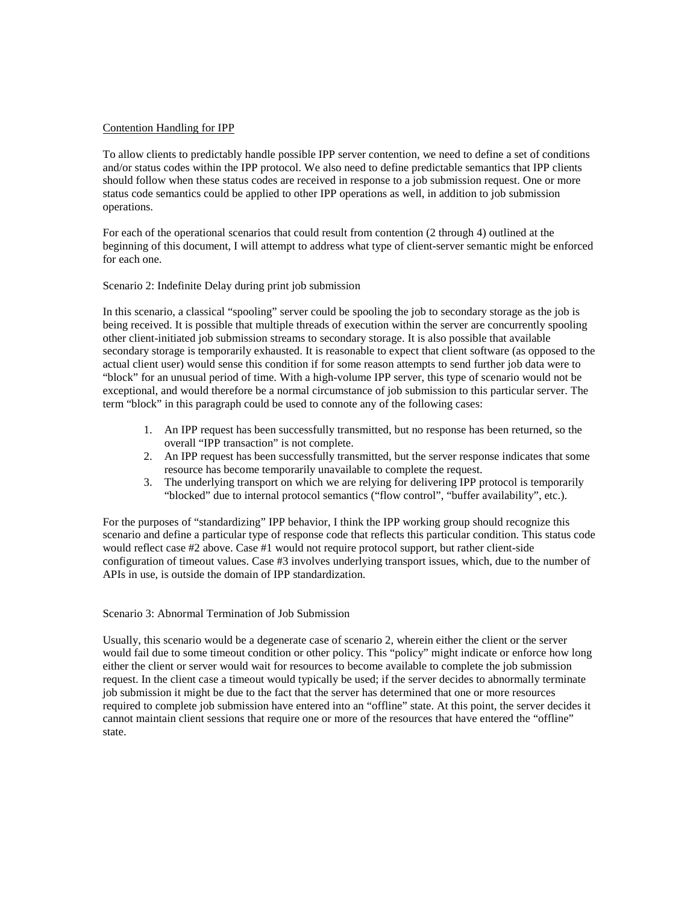#### Contention Handling for IPP

To allow clients to predictably handle possible IPP server contention, we need to define a set of conditions and/or status codes within the IPP protocol. We also need to define predictable semantics that IPP clients should follow when these status codes are received in response to a job submission request. One or more status code semantics could be applied to other IPP operations as well, in addition to job submission operations.

For each of the operational scenarios that could result from contention (2 through 4) outlined at the beginning of this document, I will attempt to address what type of client-server semantic might be enforced for each one.

#### Scenario 2: Indefinite Delay during print job submission

In this scenario, a classical "spooling" server could be spooling the job to secondary storage as the job is being received. It is possible that multiple threads of execution within the server are concurrently spooling other client-initiated job submission streams to secondary storage. It is also possible that available secondary storage is temporarily exhausted. It is reasonable to expect that client software (as opposed to the actual client user) would sense this condition if for some reason attempts to send further job data were to "block" for an unusual period of time. With a high-volume IPP server, this type of scenario would not be exceptional, and would therefore be a normal circumstance of job submission to this particular server. The term "block" in this paragraph could be used to connote any of the following cases:

- 1. An IPP request has been successfully transmitted, but no response has been returned, so the overall "IPP transaction" is not complete.
- 2. An IPP request has been successfully transmitted, but the server response indicates that some resource has become temporarily unavailable to complete the request.
- 3. The underlying transport on which we are relying for delivering IPP protocol is temporarily "blocked" due to internal protocol semantics ("flow control", "buffer availability", etc.).

For the purposes of "standardizing" IPP behavior, I think the IPP working group should recognize this scenario and define a particular type of response code that reflects this particular condition. This status code would reflect case #2 above. Case #1 would not require protocol support, but rather client-side configuration of timeout values. Case #3 involves underlying transport issues, which, due to the number of APIs in use, is outside the domain of IPP standardization.

#### Scenario 3: Abnormal Termination of Job Submission

Usually, this scenario would be a degenerate case of scenario 2, wherein either the client or the server would fail due to some timeout condition or other policy. This "policy" might indicate or enforce how long either the client or server would wait for resources to become available to complete the job submission request. In the client case a timeout would typically be used; if the server decides to abnormally terminate job submission it might be due to the fact that the server has determined that one or more resources required to complete job submission have entered into an "offline" state. At this point, the server decides it cannot maintain client sessions that require one or more of the resources that have entered the "offline" state.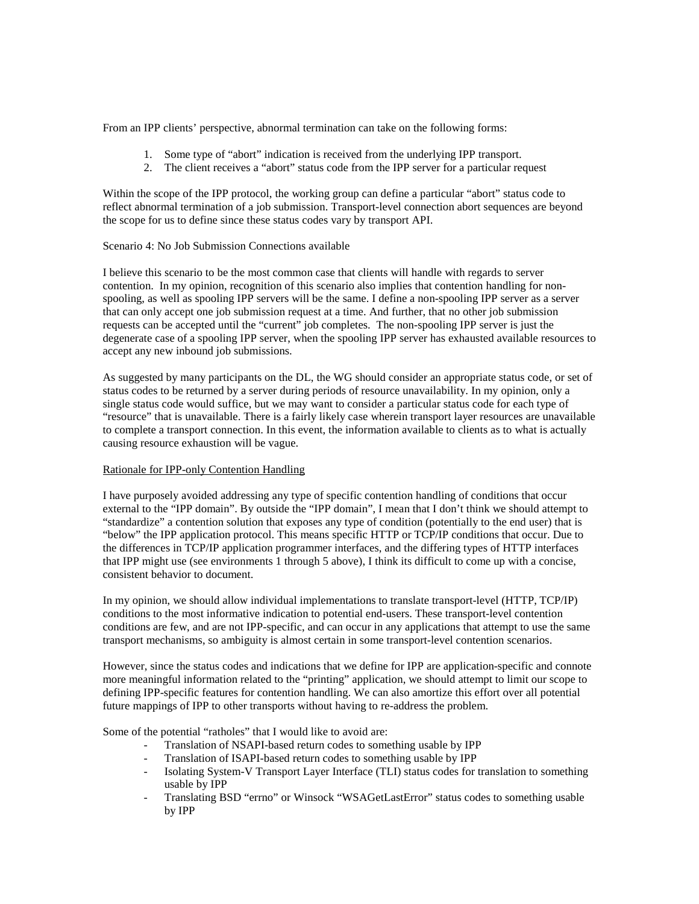From an IPP clients' perspective, abnormal termination can take on the following forms:

- 1. Some type of "abort" indication is received from the underlying IPP transport.
- 2. The client receives a "abort" status code from the IPP server for a particular request

Within the scope of the IPP protocol, the working group can define a particular "abort" status code to reflect abnormal termination of a job submission. Transport-level connection abort sequences are beyond the scope for us to define since these status codes vary by transport API.

# Scenario 4: No Job Submission Connections available

I believe this scenario to be the most common case that clients will handle with regards to server contention. In my opinion, recognition of this scenario also implies that contention handling for nonspooling, as well as spooling IPP servers will be the same. I define a non-spooling IPP server as a server that can only accept one job submission request at a time. And further, that no other job submission requests can be accepted until the "current" job completes. The non-spooling IPP server is just the degenerate case of a spooling IPP server, when the spooling IPP server has exhausted available resources to accept any new inbound job submissions.

As suggested by many participants on the DL, the WG should consider an appropriate status code, or set of status codes to be returned by a server during periods of resource unavailability. In my opinion, only a single status code would suffice, but we may want to consider a particular status code for each type of "resource" that is unavailable. There is a fairly likely case wherein transport layer resources are unavailable to complete a transport connection. In this event, the information available to clients as to what is actually causing resource exhaustion will be vague.

## Rationale for IPP-only Contention Handling

I have purposely avoided addressing any type of specific contention handling of conditions that occur external to the "IPP domain". By outside the "IPP domain", I mean that I don't think we should attempt to "standardize" a contention solution that exposes any type of condition (potentially to the end user) that is "below" the IPP application protocol. This means specific HTTP or TCP/IP conditions that occur. Due to the differences in TCP/IP application programmer interfaces, and the differing types of HTTP interfaces that IPP might use (see environments 1 through 5 above), I think its difficult to come up with a concise, consistent behavior to document.

In my opinion, we should allow individual implementations to translate transport-level (HTTP, TCP/IP) conditions to the most informative indication to potential end-users. These transport-level contention conditions are few, and are not IPP-specific, and can occur in any applications that attempt to use the same transport mechanisms, so ambiguity is almost certain in some transport-level contention scenarios.

However, since the status codes and indications that we define for IPP are application-specific and connote more meaningful information related to the "printing" application, we should attempt to limit our scope to defining IPP-specific features for contention handling. We can also amortize this effort over all potential future mappings of IPP to other transports without having to re-address the problem.

Some of the potential "ratholes" that I would like to avoid are:

- Translation of NSAPI-based return codes to something usable by IPP
- Translation of ISAPI-based return codes to something usable by IPP
- Isolating System-V Transport Layer Interface (TLI) status codes for translation to something usable by IPP
- Translating BSD "errno" or Winsock "WSAGetLastError" status codes to something usable by IPP